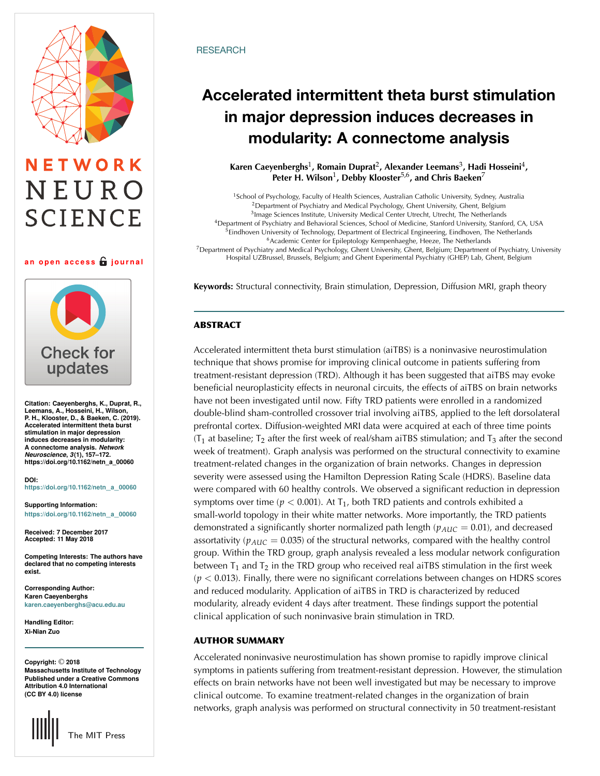# NETWORK NEURO **SCIENCE**

#### **an open access journal**



**Citation: Caeyenberghs, K., Duprat, R., Leemans, A., Hosseini, H., Wilson, P. H., Klooster, D., & Baeken, C. (2019). Accelerated intermittent theta burst stimulation in major depression induces decreases in modularity: A connectome analysis.** *Network Neuroscience***,** *3***(1), 157–172. https://doi.org/10.1162/netn\_a\_00060**

**DOI: [https://doi.org/10.1162/netn](https://dx.doi.org/10.1162/netn_a_00060)**\_**a**\_**<sup>00060</sup>**

**Supporting Information: [https://doi.org/10.1162/netn](https://doi.org/10.1162/netn_a_00060)**\_**a**\_**<sup>00060</sup>**

**Received: 7 December 2017 Accepted: 11 May 2018**

**Competing Interests: The authors have declared that no competing interests exist.**

**Corresponding Author: Karen Caeyenberghs [karen.caeyenberghs@acu.edu.au](mailto:karen.caeyenberghs@acu.edu.au)**

**Handling Editor: Xi-Nian Zuo**

**Copyright:** © **2018 Massachusetts Institute of Technology Published under a Creative Commons Attribution 4.0 International (CC BY 4.0) license**



### **RESEARCH**

## **Accelerated intermittent theta burst stimulation in major depression induces decreases in modularity: A connectome analysis**

### **Karen Caeyenberghs**1**, Romain Duprat**2**, Alexander Leemans**3**, Hadi Hosseini**4**, Peter H. Wilson**1**, Debby Klooster**5,6**, and Chris Baeken**<sup>7</sup>

<sup>1</sup>School of Psychology, Faculty of Health Sciences, Australian Catholic University, Sydney, Australia <sup>2</sup>Department of Psychiatry and Medical Psychology, Ghent University, Ghent, Belgium <sup>3</sup>Image Sciences Institute, University Medical Center Utrecht, Utrecht, The Netherlands <sup>4</sup>Department of Psychiatry and Behavioral Sciences, School of Medicine, Stanford University, Stanford, CA, USA <sup>5</sup>Eindhoven University of Technology, Department of Electrical Engineering, Eindhoven, The Netherlands <sup>6</sup>Academic Center for Epileptology Kempenhaeghe, Heeze, The Netherlands <sup>7</sup>Department of Psychiatry and Medical Psychology, Ghent University, Ghent, Belgium; Department of Psychiatry, University Hospital UZBrussel, Brussels, Belgium; and Ghent Experimental Psychiatry (GHEP) Lab, Ghent, Belgium

**Keywords:** Structural connectivity, Brain stimulation, Depression, Diffusion MRI, graph theory

## **ABSTRACT**

Accelerated intermittent theta burst stimulation (aiTBS) is a noninvasive neurostimulation technique that shows promise for improving clinical outcome in patients suffering from treatment-resistant depression (TRD). Although it has been suggested that aiTBS may evoke beneficial neuroplasticity effects in neuronal circuits, the effects of aiTBS on brain networks have not been investigated until now. Fifty TRD patients were enrolled in a randomized double-blind sham-controlled crossover trial involving aiTBS, applied to the left dorsolateral prefrontal cortex. Diffusion-weighted MRI data were acquired at each of three time points ( $T_1$  at baseline;  $T_2$  after the first week of real/sham aiTBS stimulation; and  $T_3$  after the second week of treatment). Graph analysis was performed on the structural connectivity to examine treatment-related changes in the organization of brain networks. Changes in depression severity were assessed using the Hamilton Depression Rating Scale (HDRS). Baseline data were compared with 60 healthy controls. We observed a significant reduction in depression symptoms over time ( $p < 0.001$ ). At T<sub>1</sub>, both TRD patients and controls exhibited a small-world topology in their white matter networks. More importantly, the TRD patients demonstrated a significantly shorter normalized path length  $(p_{AUC} = 0.01)$ , and decreased assortativity ( $p_{AUC} = 0.035$ ) of the structural networks, compared with the healthy control group. Within the TRD group, graph analysis revealed a less modular network configuration between  $T_1$  and  $T_2$  in the TRD group who received real aiTBS stimulation in the first week  $(p < 0.013)$ . Finally, there were no significant correlations between changes on HDRS scores and reduced modularity. Application of aiTBS in TRD is characterized by reduced modularity, already evident 4 days after treatment. These findings support the potential clinical application of such noninvasive brain stimulation in TRD.

#### **AUTHOR SUMMARY**

Accelerated noninvasive neurostimulation has shown promise to rapidly improve clinical symptoms in patients suffering from treatment-resistant depression. However, the stimulation effects on brain networks have not been well investigated but may be necessary to improve clinical outcome. To examine treatment-related changes in the organization of brain networks, graph analysis was performed on structural connectivity in 50 treatment-resistant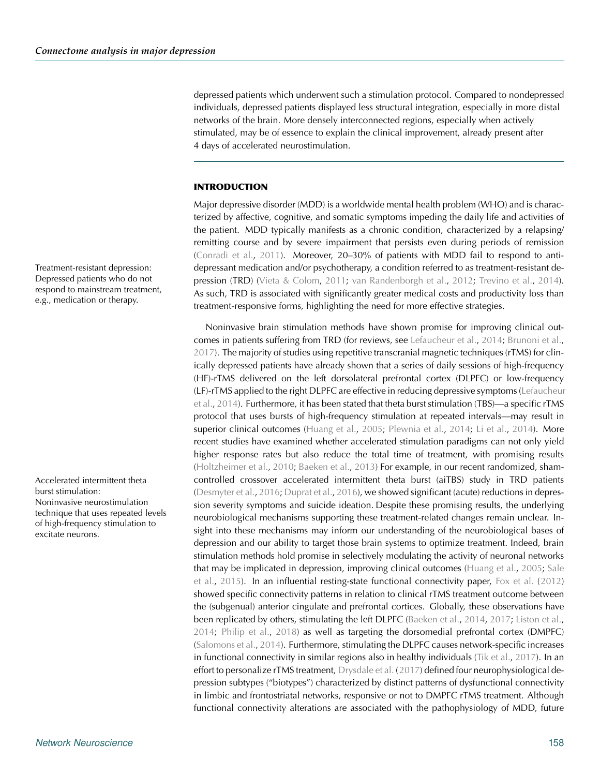depressed patients which underwent such a stimulation protocol. Compared to nondepressed individuals, depressed patients displayed less structural integration, especially in more distal networks of the brain. More densely interconnected regions, especially when actively stimulated, may be of essence to explain the clinical improvement, already present after 4 days of accelerated neurostimulation.

#### **INTRODUCTION**

Major depressive disorder (MDD) is a worldwide mental health problem (WHO) and is characterized by affective, cognitive, and somatic symptoms impeding the daily life and activities of the patient. MDD typically manifests as a chronic condition, characterized by a relapsing/ remitting course and by severe impairment that persists even during periods of remission [\(Conradi et al.,](#page-12-0) [2011](#page-12-0)). Moreover, 20–30% of patients with MDD fail to respond to antidepressant medication and/or psychotherapy, a condition referred to as treatment-resistant depression (TRD) [\(Vieta & Colom](#page-15-0), [2011](#page-15-0); [van Randenborgh et al.,](#page-15-1) [2012;](#page-15-1) [Trevino et al.,](#page-15-2) [2014\)](#page-15-2). As such, TRD is associated with significantly greater medical costs and productivity loss than treatment-responsive forms, highlighting the need for more effective strategies.

Noninvasive brain stimulation methods have shown promise for improving clinical outcomes in patients suffering from TRD (for reviews, see [Lefaucheur et al.,](#page-14-0) [2014;](#page-14-0) [Brunoni et al.](#page-12-1), [2017\)](#page-12-1). The majority of studies using repetitive transcranial magnetic techniques (rTMS) for clinically depressed patients have already shown that a series of daily sessions of high-frequency (HF)-rTMS delivered on the left dorsolateral prefrontal cortex (DLPFC) or low-frequency (LF)-[rTMS applied to the right DLPFC are effective in reducing depressive symptoms \(](#page-14-0)Lefaucheur et al., [2014\)](#page-14-0). Furthermore, it has been stated that theta burst stimulation (TBS)—a specific rTMS protocol that uses bursts of high-frequency stimulation at repeated intervals—may result in superior clinical outcomes [\(Huang et al.,](#page-13-0) [2005;](#page-13-0) [Plewnia et al.](#page-14-1), [2014](#page-14-2); [Li et al.](#page-14-2), 2014). More recent studies have examined whether accelerated stimulation paradigms can not only yield higher response rates but also reduce the total time of treatment, with promising results [\(Holtzheimer et al.,](#page-13-1) [2010;](#page-13-1) [Baeken et al.](#page-12-2), [2013](#page-12-2)) For example, in our recent randomized, sham-Accelerated intermittent theta controlled crossover accelerated intermittent theta burst (aiTBS) study in TRD patients [\(Desmyter et al.](#page-12-3), [2016;](#page-12-3) [Duprat et al.](#page-12-4), [2016\)](#page-12-4), we showed significant (acute) reductions in depression severity symptoms and suicide ideation. Despite these promising results, the underlying neurobiological mechanisms supporting these treatment-related changes remain unclear. Insight into these mechanisms may inform our understanding of the neurobiological bases of depression and our ability to target those brain systems to optimize treatment. Indeed, brain stimulation methods hold promise in selectively modulating the activity of neuronal networks that [may be implicated in depression, improving clinical outcomes](#page-14-3) [\(Huang et al.](#page-13-0)[,](#page-14-3) [2005;](#page-13-0) Sale et al., [2015](#page-14-3)). In an influential resting-state functional connectivity paper, [Fox et al.](#page-13-2) [\(2012](#page-13-2)) showed specific connectivity patterns in relation to clinical rTMS treatment outcome between the (subgenual) anterior cingulate and prefrontal cortices. Globally, these observations have been replicated by others, stimulating the left DLPFC [\(Baeken et al.](#page-12-5), [2014](#page-12-5), [2017](#page-12-6); [Liston et al.](#page-14-4), [2014;](#page-14-4) [Philip et al.](#page-14-5), [2018\)](#page-14-5) as well as targeting the dorsomedial prefrontal cortex (DMPFC) [\(Salomons et al.](#page-14-6), [2014\)](#page-14-6). Furthermore, stimulating the DLPFC causes network-specific increases in functional connectivity in similar regions also in healthy individuals [\(Tik et al.](#page-15-3), [2017](#page-15-3)). In an effort to personalize rTMS treatment, [Drysdale et al.](#page-12-7) [\(2017\)](#page-12-7) defined four neurophysiological depression subtypes ("biotypes") characterized by distinct patterns of dysfunctional connectivity in limbic and frontostriatal networks, responsive or not to DMPFC rTMS treatment. Although functional connectivity alterations are associated with the pathophysiology of MDD, future

Treatment-resistant depression: Depressed patients who do not respond to mainstream treatment, e.g., medication or therapy.

burst stimulation: Noninvasive neurostimulation technique that uses repeated levels of high-frequency stimulation to excitate neurons.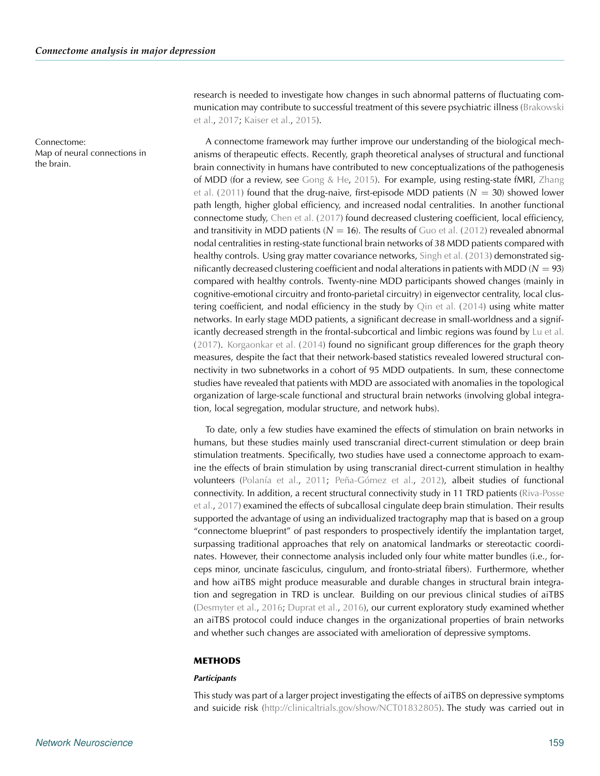Map of neural connections in the brain.

research is needed to investigate how changes in such abnormal patterns of fluctuating commun[ication may contribute to successful treatment of this severe psychiatric illness \(](#page-12-8)Brakowski et al., [2017](#page-12-8); [Kaiser et al.,](#page-13-3) [2015](#page-13-3)).

Connectome: A connectome framework may further improve our understanding of the biological mechanisms of therapeutic effects. Recently, graph theoretical analyses of structural and functional brain connectivity in humans have contributed to new conceptualizations of the pathogenesis of MDD (for a review, see [Gong & He,](#page-13-4) [2015](#page-13-4)[\).](#page-15-4) [For](#page-15-4) [example,](#page-15-4) [using](#page-15-4) [resting-state](#page-15-4) [fMRI,](#page-15-4) Zhang et al. [\(2011](#page-15-4)) found that the drug-naive, first-episode MDD patients  $(N = 30)$  showed lower path length, higher global efficiency, and increased nodal centralities. In another functional connectome study, [Chen et al.](#page-12-9) [\(2017\)](#page-12-9) found decreased clustering coefficient, local efficiency, and transitivity in MDD patients  $(N = 16)$ . The results of [Guo et al.](#page-13-5) [\(2012\)](#page-13-5) revealed abnormal nodal centralities in resting-state functional brain networks of 38 MDD patients compared with healthy controls. Using gray matter covariance networks, [Singh et al.](#page-14-7) [\(2013\)](#page-14-7) demonstrated significantly decreased clustering coefficient and nodal alterations in patients with MDD ( $N = 93$ ) compared with healthy controls. Twenty-nine MDD participants showed changes (mainly in cognitive-emotional circuitry and fronto-parietal circuitry) in eigenvector centrality, local clustering coefficient, and nodal efficiency in the study by [Qin et al.](#page-14-8) [\(2014](#page-14-8)) using white matter networks. In early stage MDD patients, a significant decrease in small-worldness and a significantly decreased strength in the frontal-subcortical and limbic regions was found by [Lu et al.](#page-14-9) [\(2017\)](#page-14-9). [Korgaonkar et al.](#page-14-10) [\(2014\)](#page-14-10) found no significant group differences for the graph theory measures, despite the fact that their network-based statistics revealed lowered structural connectivity in two subnetworks in a cohort of 95 MDD outpatients. In sum, these connectome studies have revealed that patients with MDD are associated with anomalies in the topological organization of large-scale functional and structural brain networks (involving global integration, local segregation, modular structure, and network hubs).

> To date, only a few studies have examined the effects of stimulation on brain networks in humans, but these studies mainly used transcranial direct-current stimulation or deep brain stimulation treatments. Specifically, two studies have used a connectome approach to examine the effects of brain stimulation by using transcranial direct-current stimulation in healthy volunteers [\(Polanía et al.,](#page-14-11) [2011](#page-14-11); [Peña-Gómez et al.](#page-14-12), [2012\)](#page-14-12), albeit studies of functional con[nectivity.](#page-14-13) [In](#page-14-13) [addition,](#page-14-13) [a](#page-14-13) [recent](#page-14-13) [structural](#page-14-13) [connectivity](#page-14-13) [study](#page-14-13) [in](#page-14-13) [11](#page-14-13) [TRD](#page-14-13) [patients](#page-14-13) [\(](#page-14-13)Riva-Posse et al., [2017](#page-14-13)) examined the effects of subcallosal cingulate deep brain stimulation. Their results supported the advantage of using an individualized tractography map that is based on a group "connectome blueprint" of past responders to prospectively identify the implantation target, surpassing traditional approaches that rely on anatomical landmarks or stereotactic coordinates. However, their connectome analysis included only four white matter bundles (i.e., forceps minor, uncinate fasciculus, cingulum, and fronto-striatal fibers). Furthermore, whether and how aiTBS might produce measurable and durable changes in structural brain integration and segregation in TRD is unclear. Building on our previous clinical studies of aiTBS [\(Desmyter et al.](#page-12-3), [2016](#page-12-3); [Duprat et al.,](#page-12-4) [2016](#page-12-4)), our current exploratory study examined whether an aiTBS protocol could induce changes in the organizational properties of brain networks and whether such changes are associated with amelioration of depressive symptoms.

#### **METHODS**

#### *Participants*

This study was part of a larger project investigating the effects of aiTBS on depressive symptoms and suicide risk [\(http://clinicaltrials.gov/show/NCT01832805\)](http://clinicaltrials.gov/show/NCT01832805). The study was carried out in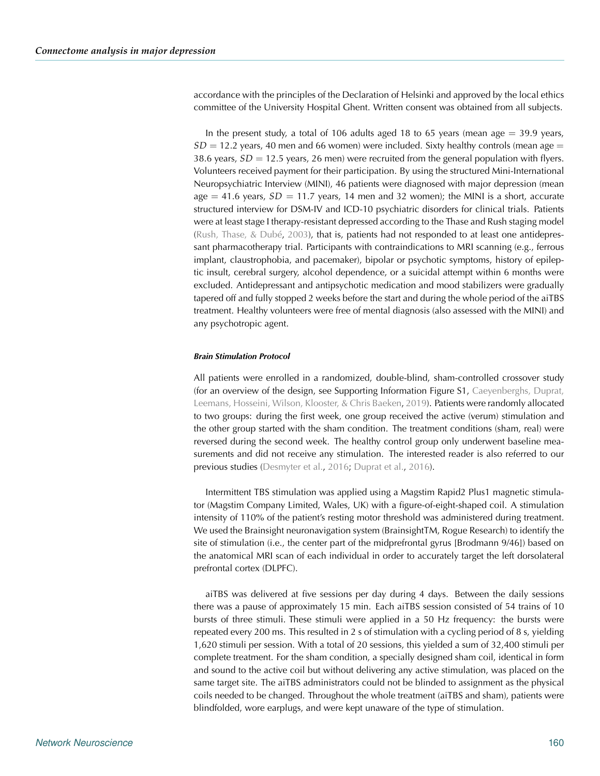accordance with the principles of the Declaration of Helsinki and approved by the local ethics committee of the University Hospital Ghent. Written consent was obtained from all subjects.

In the present study, a total of 106 adults aged 18 to 65 years (mean age  $=$  39.9 years,  $SD = 12.2$  years, 40 men and 66 women) were included. Sixty healthy controls (mean age  $=$ 38.6 years,  $SD = 12.5$  years, 26 men) were recruited from the general population with flyers. Volunteers received payment for their participation. By using the structured Mini-International Neuropsychiatric Interview (MINI), 46 patients were diagnosed with major depression (mean age  $=$  41.6 years,  $SD = 11.7$  years, 14 men and 32 women); the MINI is a short, accurate structured interview for DSM-IV and ICD-10 psychiatric disorders for clinical trials. Patients were at least stage I therapy-resistant depressed according to the Thase and Rush staging model [\(Rush, Thase, & Dubé,](#page-14-14) [2003\)](#page-14-14), that is, patients had not responded to at least one antidepressant pharmacotherapy trial. Participants with contraindications to MRI scanning (e.g., ferrous implant, claustrophobia, and pacemaker), bipolar or psychotic symptoms, history of epileptic insult, cerebral surgery, alcohol dependence, or a suicidal attempt within 6 months were excluded. Antidepressant and antipsychotic medication and mood stabilizers were gradually tapered off and fully stopped 2 weeks before the start and during the whole period of the aiTBS treatment. Healthy volunteers were free of mental diagnosis (also assessed with the MINI) and any psychotropic agent.

#### *Brain Stimulation Protocol*

All patients were enrolled in a randomized, double-blind, sham-controlled crossover study (for an overview of the design, see Supporting Infor[mation Figure S1,](#page-12-10) Caeyenberghs, Duprat, Leemans, Hosseini, Wilson, Klooster, & Chris Baeken, [2019](#page-12-10)). Patients were randomly allocated to two groups: during the first week, one group received the active (verum) stimulation and the other group started with the sham condition. The treatment conditions (sham, real) were reversed during the second week. The healthy control group only underwent baseline measurements and did not receive any stimulation. The interested reader is also referred to our previous studies [\(Desmyter et al.,](#page-12-3) [2016](#page-12-3); [Duprat et al.](#page-12-4), [2016\)](#page-12-4).

Intermittent TBS stimulation was applied using a Magstim Rapid2 Plus1 magnetic stimulator (Magstim Company Limited, Wales, UK) with a figure-of-eight-shaped coil. A stimulation intensity of 110% of the patient's resting motor threshold was administered during treatment. We used the Brainsight neuronavigation system (BrainsightTM, Rogue Research) to identify the site of stimulation (i.e., the center part of the midprefrontal gyrus [Brodmann 9/46]) based on the anatomical MRI scan of each individual in order to accurately target the left dorsolateral prefrontal cortex (DLPFC).

aiTBS was delivered at five sessions per day during 4 days. Between the daily sessions there was a pause of approximately 15 min. Each aiTBS session consisted of 54 trains of 10 bursts of three stimuli. These stimuli were applied in a 50 Hz frequency: the bursts were repeated every 200 ms. This resulted in 2 s of stimulation with a cycling period of 8 s, yielding 1,620 stimuli per session. With a total of 20 sessions, this yielded a sum of 32,400 stimuli per complete treatment. For the sham condition, a specially designed sham coil, identical in form and sound to the active coil but without delivering any active stimulation, was placed on the same target site. The aiTBS administrators could not be blinded to assignment as the physical coils needed to be changed. Throughout the whole treatment (aiTBS and sham), patients were blindfolded, wore earplugs, and were kept unaware of the type of stimulation.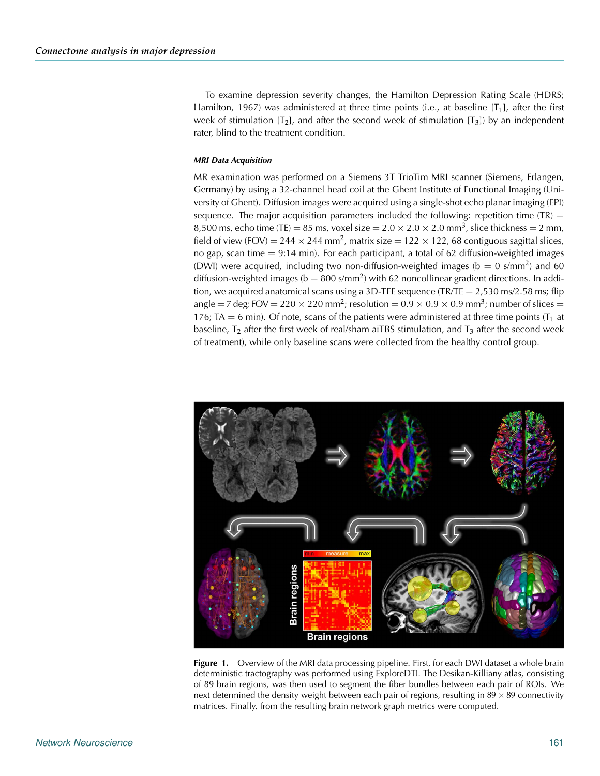To examine depression severity changes, the Hamilton Depression Rating Scale (HDRS; Hamilton, 1967) was administered at three time points (i.e., at baseline  $[T_1]$ , after the first week of stimulation  $[T_2]$ , and after the second week of stimulation  $[T_3]$ ) by an independent rater, blind to the treatment condition.

#### *MRI Data Acquisition*

MR examination was performed on a Siemens 3T TrioTim MRI scanner (Siemens, Erlangen, Germany) by using a 32-channel head coil at the Ghent Institute of Functional Imaging (University of Ghent). Diffusion images were acquired using a single-shot echo planar imaging (EPI) sequence. The major acquisition parameters included the following: repetition time (TR)  $=$ 8,500 ms, echo time (TE) = 85 ms, voxel size =  $2.0 \times 2.0 \times 2.0$  mm<sup>3</sup>, slice thickness = 2 mm, field of view (FOV) = 244  $\times$  244 mm<sup>2</sup>, matrix size = 122  $\times$  122, 68 contiguous sagittal slices, no gap, scan time  $= 9:14$  min). For each participant, a total of 62 diffusion-weighted images (DWI) were acquired, including two non-diffusion-weighted images ( $b = 0$  s/mm<sup>2</sup>) and 60 diffusion-weighted images ( $b = 800 \text{ s/mm}^2$ ) with 62 noncollinear gradient directions. In addition, we acquired anatomical scans using a 3D-TFE sequence (TR/TE  $=$  2,530 ms/2.58 ms; flip angle = 7 deg; FOV = 220  $\times$  220 mm<sup>2</sup>; resolution = 0.9  $\times$  0.9  $\times$  0.9 mm<sup>3</sup>; number of slices = 176; TA = 6 min). Of note, scans of the patients were administered at three time points  $(T_1$  at baseline,  $T_2$  after the first week of real/sham aiTBS stimulation, and  $T_3$  after the second week of treatment), while only baseline scans were collected from the healthy control group.



<span id="page-4-0"></span>Figure 1. Overview of the MRI data processing pipeline. First, for each DWI dataset a whole brain deterministic tractography was performed using ExploreDTI. The Desikan-Killiany atlas, consisting of 89 brain regions, was then used to segment the fiber bundles between each pair of ROIs. We next determined the density weight between each pair of regions, resulting in  $89 \times 89$  connectivity matrices. Finally, from the resulting brain network graph metrics were computed.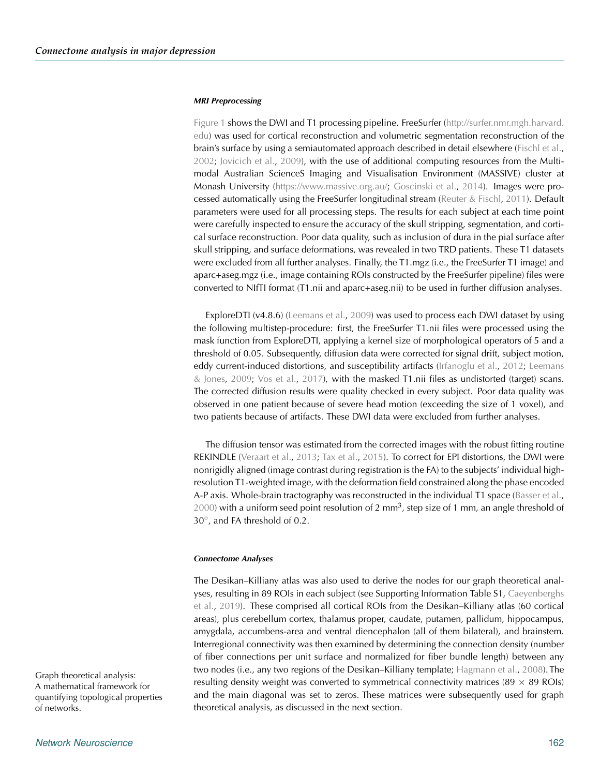#### *MRI Preprocessing*

[Figure 1](#page-4-0) shows the DWI and T1 processing pipeline. FreeSurfer [\(http://surfer.nmr.mgh.harvard.](http://surfer.nmr.mgh.harvard.edu) [edu\)](http://surfer.nmr.mgh.harvard.edu) was used for cortical reconstruction and volumetric segmentation reconstruction of the brain's surface by using a semiautomated approach described in detail elsewhere [\(Fischl et al.](#page-13-6), [2002;](#page-13-6) [Jovicich et al.,](#page-13-7) [2009](#page-13-7)), with the use of additional computing resources from the Multimodal Australian ScienceS Imaging and Visualisation Environment (MASSIVE) cluster at Monash University [\(https://www.massive.org.au/;](https://www.massive.org.au/) [Goscinski et al.,](#page-13-8) [2014](#page-13-8)). Images were processed automatically using the FreeSurfer longitudinal stream [\(Reuter & Fischl](#page-14-15), [2011\)](#page-14-15). Default parameters were used for all processing steps. The results for each subject at each time point were carefully inspected to ensure the accuracy of the skull stripping, segmentation, and cortical surface reconstruction. Poor data quality, such as inclusion of dura in the pial surface after skull stripping, and surface deformations, was revealed in two TRD patients. These T1 datasets were excluded from all further analyses. Finally, the T1.mgz (i.e., the FreeSurfer T1 image) and aparc+aseg.mgz (i.e., image containing ROIs constructed by the FreeSurfer pipeline) files were converted to NIfTI format (T1.nii and aparc+aseg.nii) to be used in further diffusion analyses.

ExploreDTI (v4.8.6) [\(Leemans et al.,](#page-14-16) [2009\)](#page-14-16) was used to process each DWI dataset by using the following multistep-procedure: first, the FreeSurfer T1.nii files were processed using the mask function from ExploreDTI, applying a kernel size of morphological operators of 5 and a threshold of 0.05. Subsequently, diffusion data were corrected for signal drift, subject motion, eddy c[urrent-induced distortions, and susceptibility artifacts](#page-14-17) [\(Irfanoglu et al.](#page-13-9)[,](#page-14-17) [2012](#page-13-9); Leemans & Jones, [2009;](#page-14-17) [Vos et al.](#page-15-5), [2017\)](#page-15-5), with the masked T1.nii files as undistorted (target) scans. The corrected diffusion results were quality checked in every subject. Poor data quality was observed in one patient because of severe head motion (exceeding the size of 1 voxel), and two patients because of artifacts. These DWI data were excluded from further analyses.

The diffusion tensor was estimated from the corrected images with the robust fitting routine REKINDLE [\(Veraart et al.](#page-15-6), [2013;](#page-15-6) [Tax et al.](#page-15-7), [2015](#page-15-7)). To correct for EPI distortions, the DWI were nonrigidly aligned (image contrast during registration is the FA) to the subjects' individual highresolution T1-weighted image, with the deformation field constrained along the phase encoded A-P axis. Whole-brain tractography was reconstructed in the individual T1 space [\(Basser et al.](#page-12-11),  $2000$ ) with a uniform seed point resolution of 2 mm<sup>3</sup>, step size of 1 mm, an angle threshold of 30◦, and FA threshold of 0.2.

#### *Connectome Analyses*

The Desikan–Killiany atlas was also used to derive the nodes for our graph theoretical analyses, [resulting in 89 ROIs in each subject \(see Supporting Information Table S1,](#page-12-10) Caeyenberghs et al., [2019](#page-12-10)). These comprised all cortical ROIs from the Desikan–Killiany atlas (60 cortical areas), plus cerebellum cortex, thalamus proper, caudate, putamen, pallidum, hippocampus, amygdala, accumbens-area and ventral diencephalon (all of them bilateral), and brainstem. Interregional connectivity was then examined by determining the connection density (number of fiber connections per unit surface and normalized for fiber bundle length) between any two nodes (i.e., any two regions of the Desikan–Killiany template; [Hagmann et al.](#page-13-10), [2008](#page-13-10)). The resulting density weight was converted to symmetrical connectivity matrices ( $89 \times 89$  ROIs) and the main diagonal was set to zeros. These matrices were subsequently used for graph theoretical analysis, as discussed in the next section.

Graph theoretical analysis: A mathematical framework for quantifying topological properties of networks.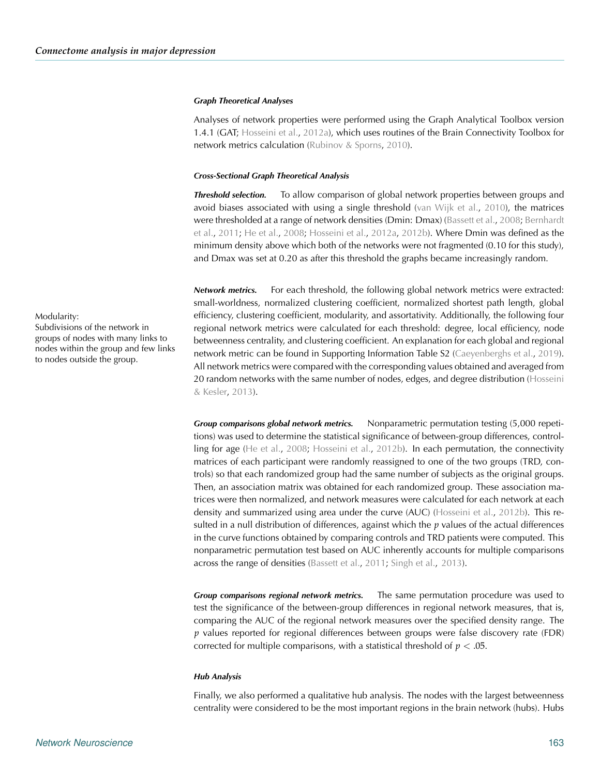#### *Graph Theoretical Analyses*

Analyses of network properties were performed using the Graph Analytical Toolbox version 1.4.1 (GAT; [Hosseini et al.](#page-13-11), [2012a](#page-13-11)), which uses routines of the Brain Connectivity Toolbox for network metrics calculation [\(Rubinov & Sporns,](#page-14-18) [2010\)](#page-14-18).

#### *Cross-Sectional Graph Theoretical Analysis*

*Threshold selection.* To allow comparison of global network properties between groups and avoid biases associated with using a single threshold [\(van Wijk et al.](#page-15-8), [2010\)](#page-15-8), the matrices were [thresholded at a range of network densities \(Dmin: Dmax\)](#page-12-13) [\(Bassett et al.](#page-12-12)[,](#page-12-13) [2008](#page-12-12); Bernhardt et al., [2011](#page-12-13); [He et al.](#page-13-12), [2008;](#page-13-12) [Hosseini et al.,](#page-13-11) [2012a,](#page-13-11) [2012b](#page-13-13)). Where Dmin was defined as the minimum density above which both of the networks were not fragmented (0.10 for this study), and Dmax was set at 0.20 as after this threshold the graphs became increasingly random.

*Network metrics.* For each threshold, the following global network metrics were extracted: small-worldness, normalized clustering coefficient, normalized shortest path length, global Modularity: efficiency, clustering coefficient, modularity, and assortativity. Additionally, the following four regional network metrics were calculated for each threshold: degree, local efficiency, node betweenness centrality, and clustering coefficient. An explanation for each global and regional network metric can be found in Supporting Information Table S2 [\(Caeyenberghs et al.](#page-12-10), [2019\)](#page-12-10). All network metrics were compared with the corresponding values obtained and averaged from 20 rand[om networks with the same number of nodes, edges, and degree distribution \(](#page-13-14)Hosseini & Kesler, [2013](#page-13-14)).

> *Group comparisons global network metrics.* Nonparametric permutation testing (5,000 repetitions) was used to determine the statistical significance of between-group differences, controlling for age [\(He et al.,](#page-13-12) [2008;](#page-13-12) [Hosseini et al.,](#page-13-13) [2012b\)](#page-13-13). In each permutation, the connectivity matrices of each participant were randomly reassigned to one of the two groups (TRD, controls) so that each randomized group had the same number of subjects as the original groups. Then, an association matrix was obtained for each randomized group. These association matrices were then normalized, and network measures were calculated for each network at each density and summarized using area under the curve (AUC) [\(Hosseini et al.,](#page-13-13) [2012b\)](#page-13-13). This resulted in a null distribution of differences, against which the *p* values of the actual differences in the curve functions obtained by comparing controls and TRD patients were computed. This nonparametric permutation test based on AUC inherently accounts for multiple comparisons across the range of densities [\(Bassett et al.,](#page-12-14) [2011;](#page-12-14) [Singh et al.](#page-14-7), [2013\)](#page-14-7).

> *Group comparisons regional network metrics.* The same permutation procedure was used to test the significance of the between-group differences in regional network measures, that is, comparing the AUC of the regional network measures over the specified density range. The *p* values reported for regional differences between groups were false discovery rate (FDR) corrected for multiple comparisons, with a statistical threshold of *p* < .05.

#### *Hub Analysis*

Finally, we also performed a qualitative hub analysis. The nodes with the largest betweenness centrality were considered to be the most important regions in the brain network (hubs). Hubs

Subdivisions of the network in groups of nodes with many links to nodes within the group and few links to nodes outside the group.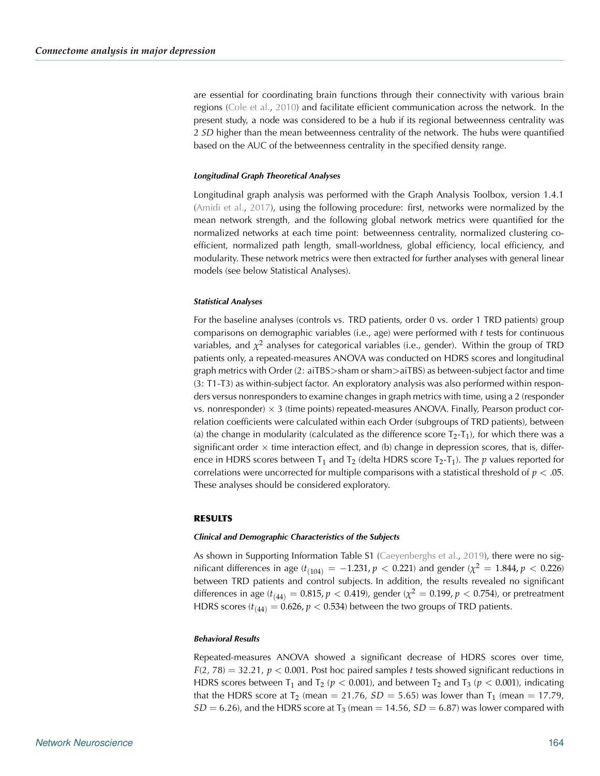are essential for coordinating brain functions through their connectivity with various brain regions [\(Cole et al.,](#page-12-15) [2010\)](#page-12-15) and facilitate efficient communication across the network. In the present study, a node was considered to be a hub if its regional betweenness centrality was 2 *SD* higher than the mean betweenness centrality of the network. The hubs were quantified based on the AUC of the betweenness centrality in the specified density range.

#### *Longitudinal Graph Theoretical Analyses*

Longitudinal graph analysis was performed with the Graph Analysis Toolbox, version 1.4.1 [\(Amidi et al.](#page-12-16), [2017](#page-12-16)), using the following procedure: first, networks were normalized by the mean network strength, and the following global network metrics were quantified for the normalized networks at each time point: betweenness centrality, normalized clustering coefficient, normalized path length, small-worldness, global efficiency, local efficiency, and modularity. These network metrics were then extracted for further analyses with general linear models (see below Statistical Analyses).

#### *Statistical Analyses*

For the baseline analyses (controls vs. TRD patients, order 0 vs. order 1 TRD patients) group comparisons on demographic variables (i.e., age) were performed with *t* tests for continuous variables, and  $\chi^2$  analyses for categorical variables (i.e., gender). Within the group of TRD patients only, a repeated-measures ANOVA was conducted on HDRS scores and longitudinal graph metrics with Order (2: aiTBS>sham or sham>aiTBS) as between-subject factor and time (3: T1-T3) as within-subject factor. An exploratory analysis was also performed within responders versus nonresponders to examine changes in graph metrics with time, using a 2 (responder vs. nonresponder)  $\times$  3 (time points) repeated-measures ANOVA. Finally, Pearson product correlation coefficients were calculated within each Order (subgroups of TRD patients), between (a) the change in modularity (calculated as the difference score  $T_2-T_1$ ), for which there was a significant order  $\times$  time interaction effect, and (b) change in depression scores, that is, difference in HDRS scores between  $T_1$  and  $T_2$  (delta HDRS score  $T_2$ - $T_1$ ). The *p* values reported for correlations were uncorrected for multiple comparisons with a statistical threshold of  $p < .05$ . These analyses should be considered exploratory.

#### **RESULTS**

#### *Clinical and Demographic Characteristics of the Subjects*

As shown in Supporting Information Table S1 [\(Caeyenberghs et al.,](#page-12-10) [2019](#page-12-10)), there were no significant differences in age  $(t_{(104)} = -1.231, p < 0.221)$  and gender  $\chi^2 = 1.844, p < 0.226$ ) between TRD patients and control subjects. In addition, the results revealed no significant differences in age ( $t_{(44)} = 0.815$ ,  $p < 0.419$ ), gender ( $\chi^2 = 0.199$ ,  $p < 0.754$ ), or pretreatment HDRS scores ( $t_{(44)} = 0.626$ ,  $p < 0.534$ ) between the two groups of TRD patients.

#### *Behavioral Results*

Repeated-measures ANOVA showed a significant decrease of HDRS scores over time,  $F(2, 78) = 32.21$ ,  $p < 0.001$ . Post hoc paired samples *t* tests showed significant reductions in HDRS scores between T<sub>1</sub> and T<sub>2</sub> ( $p < 0.001$ ), and between T<sub>2</sub> and T<sub>3</sub> ( $p < 0.001$ ), indicating that the HDRS score at  $T_2$  (mean = 21.76,  $SD = 5.65$ ) was lower than  $T_1$  (mean = 17.79,  $SD = 6.26$ ), and the HDRS score at T<sub>3</sub> (mean  $= 14.56$ ,  $SD = 6.87$ ) was lower compared with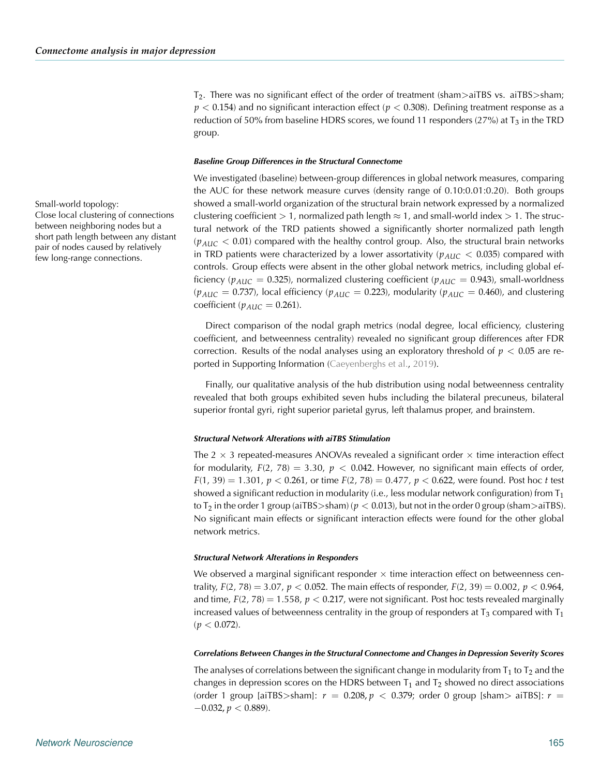$T_2$ . There was no significant effect of the order of treatment (sham>aiTBS vs. aiTBS>sham; *p* < 0.154) and no significant interaction effect (*p* < 0.308). Defining treatment response as a reduction of 50% from baseline HDRS scores, we found 11 responders (27%) at  $T_3$  in the TRD group.

#### *Baseline Group Differences in the Structural Connectome*

We investigated (baseline) between-group differences in global network measures, comparing the AUC for these network measure curves (density range of 0.10:0.01:0.20). Both groups Small-world topology: showed a small-world organization of the structural brain network expressed by a normalized clustering coefficient > 1, normalized path length  $\approx$  1, and small-world index > 1. The structural network of the TRD patients showed a significantly shorter normalized path length  $(p_{AUC} < 0.01)$  compared with the healthy control group. Also, the structural brain networks in TRD patients were characterized by a lower assortativity ( $p_{AUC}$  < 0.035) compared with controls. Group effects were absent in the other global network metrics, including global efficiency ( $p_{AUC} = 0.325$ ), normalized clustering coefficient ( $p_{AUC} = 0.943$ ), small-worldness  $(p_{AUC} = 0.737)$ , local efficiency  $(p_{AUC} = 0.223)$ , modularity  $(p_{AUC} = 0.460)$ , and clustering coefficient ( $p_{AUC} = 0.261$ ).

> Direct comparison of the nodal graph metrics (nodal degree, local efficiency, clustering coefficient, and betweenness centrality) revealed no significant group differences after FDR correction. Results of the nodal analyses using an exploratory threshold of  $p < 0.05$  are re-ported in Supporting Information [\(Caeyenberghs et al.](#page-12-10), [2019\)](#page-12-10).

> Finally, our qualitative analysis of the hub distribution using nodal betweenness centrality revealed that both groups exhibited seven hubs including the bilateral precuneus, bilateral superior frontal gyri, right superior parietal gyrus, left thalamus proper, and brainstem.

#### *Structural Network Alterations with aiTBS Stimulation*

The  $2 \times 3$  repeated-measures ANOVAs revealed a significant order  $\times$  time interaction effect for modularity,  $F(2, 78) = 3.30$ ,  $p < 0.042$ . However, no significant main effects of order,  $F(1, 39) = 1.301$ ,  $p < 0.261$ , or time  $F(2, 78) = 0.477$ ,  $p < 0.622$ , were found. Post hoc *t* test showed a significant reduction in modularity (i.e., less modular network configuration) from  $T_1$ to  $T_2$  in the order 1 group (aiTBS>sham) ( $p < 0.013$ ), but not in the order 0 group (sham>aiTBS). No significant main effects or significant interaction effects were found for the other global network metrics.

#### *Structural Network Alterations in Responders*

We observed a marginal significant responder  $\times$  time interaction effect on betweenness centrality,  $F(2, 78) = 3.07$ ,  $p < 0.052$ . The main effects of responder,  $F(2, 39) = 0.002$ ,  $p < 0.964$ , and time,  $F(2, 78) = 1.558$ ,  $p < 0.217$ , were not significant. Post hoc tests revealed marginally increased values of betweenness centrality in the group of responders at  $T_3$  compared with  $T_1$  $(p < 0.072)$ .

#### *Correlations Between Changes in the Structural Connectome and Changes in Depression Severity Scores*

The analyses of correlations between the significant change in modularity from  $T_1$  to  $T_2$  and the changes in depression scores on the HDRS between  $T_1$  and  $T_2$  showed no direct associations (order 1 group [aiTBS>sham]:  $r = 0.208, p < 0.379$ ; order 0 group [sham> aiTBS]:  $r =$  $-0.032, p < 0.889$ ).

Close local clustering of connections between neighboring nodes but a short path length between any distant pair of nodes caused by relatively few long-range connections.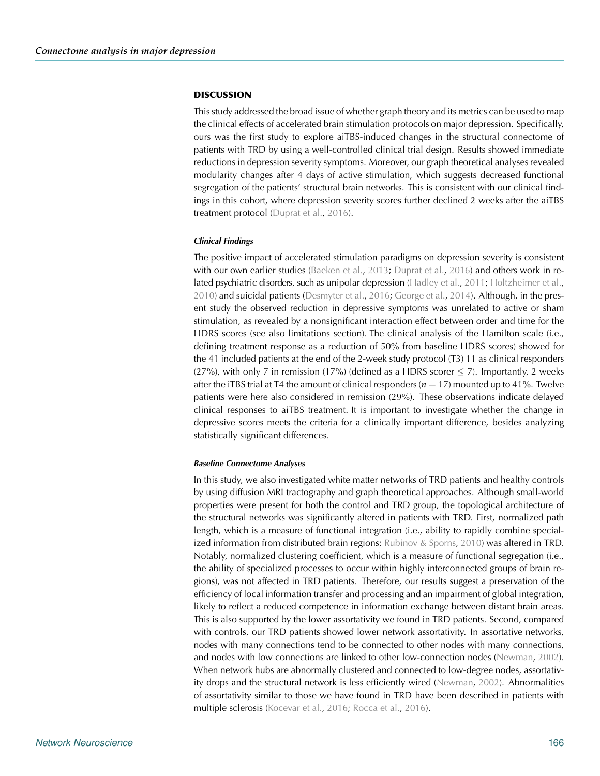#### **DISCUSSION**

This study addressed the broad issue of whether graph theory and its metrics can be used to map the clinical effects of accelerated brain stimulation protocols on major depression. Specifically, ours was the first study to explore aiTBS-induced changes in the structural connectome of patients with TRD by using a well-controlled clinical trial design. Results showed immediate reductions in depression severity symptoms. Moreover, our graph theoretical analyses revealed modularity changes after 4 days of active stimulation, which suggests decreased functional segregation of the patients' structural brain networks. This is consistent with our clinical findings in this cohort, where depression severity scores further declined 2 weeks after the aiTBS treatment protocol [\(Duprat et al.](#page-12-4), [2016\)](#page-12-4).

#### *Clinical Findings*

The positive impact of accelerated stimulation paradigms on depression severity is consistent with our own earlier studies [\(Baeken et al.](#page-12-2), [2013;](#page-12-2) [Duprat et al.](#page-12-4), [2016\)](#page-12-4) and others work in related psychiatric disorders, such as unipolar depression [\(Hadley et al.](#page-13-15), [2011](#page-13-15); [Holtzheimer et al.](#page-13-1), [2010\)](#page-13-1) and suicidal patients [\(Desmyter et al.,](#page-12-3) [2016;](#page-12-3) [George et al.](#page-13-16), [2014](#page-13-16)). Although, in the present study the observed reduction in depressive symptoms was unrelated to active or sham stimulation, as revealed by a nonsignificant interaction effect between order and time for the HDRS scores (see also limitations section). The clinical analysis of the Hamilton scale (i.e., defining treatment response as a reduction of 50% from baseline HDRS scores) showed for the 41 included patients at the end of the 2-week study protocol (T3) 11 as clinical responders (27%), with only 7 in remission (17%) (defined as a HDRS scorer  $\leq$  7). Importantly, 2 weeks after the iTBS trial at T4 the amount of clinical responders  $(n = 17)$  mounted up to 41%. Twelve patients were here also considered in remission (29%). These observations indicate delayed clinical responses to aiTBS treatment. It is important to investigate whether the change in depressive scores meets the criteria for a clinically important difference, besides analyzing statistically significant differences.

#### *Baseline Connectome Analyses*

In this study, we also investigated white matter networks of TRD patients and healthy controls by using diffusion MRI tractography and graph theoretical approaches. Although small-world properties were present for both the control and TRD group, the topological architecture of the structural networks was significantly altered in patients with TRD. First, normalized path length, which is a measure of functional integration (i.e., ability to rapidly combine specialized information from distributed brain regions; [Rubinov & Sporns](#page-14-18), [2010](#page-14-18)) was altered in TRD. Notably, normalized clustering coefficient, which is a measure of functional segregation (i.e., the ability of specialized processes to occur within highly interconnected groups of brain regions), was not affected in TRD patients. Therefore, our results suggest a preservation of the efficiency of local information transfer and processing and an impairment of global integration, likely to reflect a reduced competence in information exchange between distant brain areas. This is also supported by the lower assortativity we found in TRD patients. Second, compared with controls, our TRD patients showed lower network assortativity. In assortative networks, nodes with many connections tend to be connected to other nodes with many connections, and nodes with low connections are linked to other low-connection nodes [\(Newman](#page-14-19), [2002\)](#page-14-19). When network hubs are abnormally clustered and connected to low-degree nodes, assortativity drops and the structural network is less efficiently wired [\(Newman,](#page-14-19) [2002\)](#page-14-19). Abnormalities of assortativity similar to those we have found in TRD have been described in patients with multiple sclerosis [\(Kocevar et al.,](#page-13-17) [2016](#page-13-17); [Rocca et al.](#page-14-20), [2016](#page-14-20)).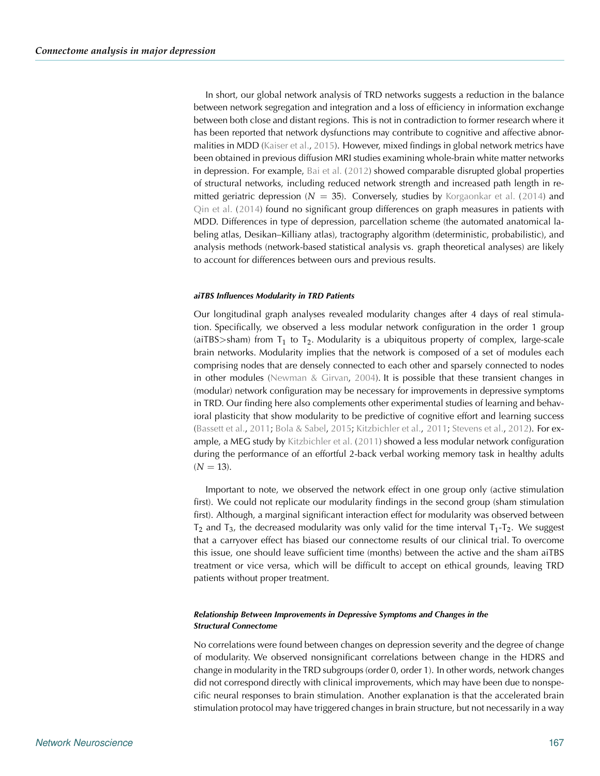In short, our global network analysis of TRD networks suggests a reduction in the balance between network segregation and integration and a loss of efficiency in information exchange between both close and distant regions. This is not in contradiction to former research where it has been reported that network dysfunctions may contribute to cognitive and affective abnor-malities in MDD [\(Kaiser et al.,](#page-13-3) [2015\)](#page-13-3). However, mixed findings in global network metrics have been obtained in previous diffusion MRI studies examining whole-brain white matter networks in depression. For example, [Bai et al.](#page-12-17) [\(2012](#page-12-17)) showed comparable disrupted global properties of structural networks, including reduced network strength and increased path length in remitted geriatric depression ( $N = 35$ ). Conversely, studies by [Korgaonkar et al.](#page-14-10) [\(2014](#page-14-10)) and [Qin et al.](#page-14-8) [\(2014](#page-14-8)) found no significant group differences on graph measures in patients with MDD. Differences in type of depression, parcellation scheme (the automated anatomical labeling atlas, Desikan–Killiany atlas), tractography algorithm (deterministic, probabilistic), and analysis methods (network-based statistical analysis vs. graph theoretical analyses) are likely to account for differences between ours and previous results.

#### *aiTBS Influences Modularity in TRD Patients*

Our longitudinal graph analyses revealed modularity changes after 4 days of real stimulation. Specifically, we observed a less modular network configuration in the order 1 group (aiTBS $>$ sham) from  $T_1$  to  $T_2$ . Modularity is a ubiquitous property of complex, large-scale brain networks. Modularity implies that the network is composed of a set of modules each comprising nodes that are densely connected to each other and sparsely connected to nodes in other modules [\(Newman & Girvan,](#page-14-21) [2004](#page-14-21)). It is possible that these transient changes in (modular) network configuration may be necessary for improvements in depressive symptoms in TRD. Our finding here also complements other experimental studies of learning and behavioral plasticity that show modularity to be predictive of cognitive effort and learning success [\(Bassett et al.](#page-12-14), [2011](#page-12-14); [Bola & Sabel](#page-12-18), [2015](#page-12-18); [Kitzbichler et al.,](#page-13-18) [2011;](#page-13-18) [Stevens et al.](#page-15-9), [2012](#page-15-9)). For example, a MEG study by [Kitzbichler et al.](#page-13-18) [\(2011\)](#page-13-18) showed a less modular network configuration during the performance of an effortful 2-back verbal working memory task in healthy adults  $(N = 13)$ .

Important to note, we observed the network effect in one group only (active stimulation first). We could not replicate our modularity findings in the second group (sham stimulation first). Although, a marginal significant interaction effect for modularity was observed between  $T_2$  and  $T_3$ , the decreased modularity was only valid for the time interval  $T_1$ - $T_2$ . We suggest that a carryover effect has biased our connectome results of our clinical trial. To overcome this issue, one should leave sufficient time (months) between the active and the sham aiTBS treatment or vice versa, which will be difficult to accept on ethical grounds, leaving TRD patients without proper treatment.

#### *Relationship Between Improvements in Depressive Symptoms and Changes in the Structural Connectome*

No correlations were found between changes on depression severity and the degree of change of modularity. We observed nonsignificant correlations between change in the HDRS and change in modularity in the TRD subgroups (order 0, order 1). In other words, network changes did not correspond directly with clinical improvements, which may have been due to nonspecific neural responses to brain stimulation. Another explanation is that the accelerated brain stimulation protocol may have triggered changes in brain structure, but not necessarily in a way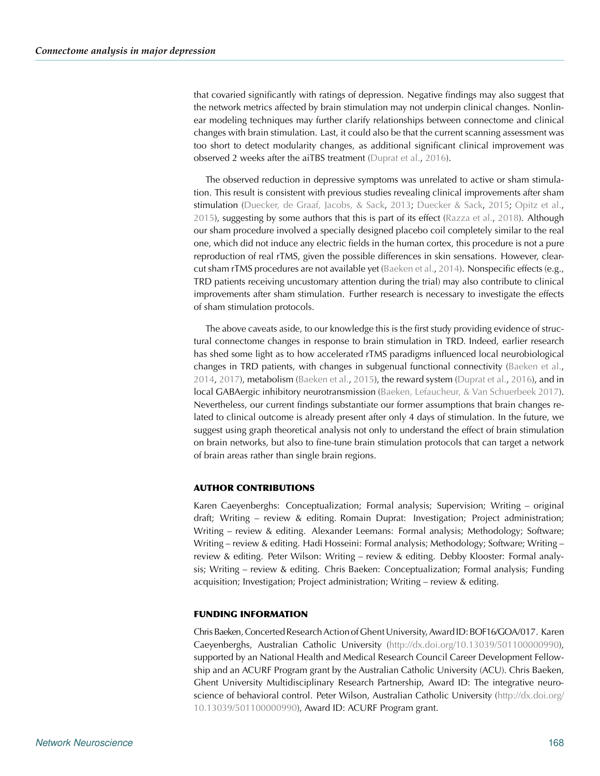that covaried significantly with ratings of depression. Negative findings may also suggest that the network metrics affected by brain stimulation may not underpin clinical changes. Nonlinear modeling techniques may further clarify relationships between connectome and clinical changes with brain stimulation. Last, it could also be that the current scanning assessment was too short to detect modularity changes, as additional significant clinical improvement was observed 2 weeks after the aiTBS treatment [\(Duprat et al.](#page-12-4), [2016](#page-12-4)).

The observed reduction in depressive symptoms was unrelated to active or sham stimulation. This result is consistent with previous studies revealing clinical improvements after sham stimulation [\(Duecker, de Graaf, Jacobs, & Sack,](#page-12-19) [2013;](#page-12-19) [Duecker & Sack,](#page-12-20) [2015;](#page-12-20) [Opitz et al.](#page-14-22), [2015\)](#page-14-22), suggesting by some authors that this is part of its effect [\(Razza et al.,](#page-14-23) [2018](#page-14-23)). Although our sham procedure involved a specially designed placebo coil completely similar to the real one, which did not induce any electric fields in the human cortex, this procedure is not a pure reproduction of real rTMS, given the possible differences in skin sensations. However, clearcut sham rTMS procedures are not available yet [\(Baeken et al.](#page-12-5), [2014\)](#page-12-5). Nonspecific effects (e.g., TRD patients receiving uncustomary attention during the trial) may also contribute to clinical improvements after sham stimulation. Further research is necessary to investigate the effects of sham stimulation protocols.

The above caveats aside, to our knowledge this is the first study providing evidence of structural connectome changes in response to brain stimulation in TRD. Indeed, earlier research has shed some light as to how accelerated rTMS paradigms influenced local neurobiological changes in TRD patients, with changes in subgenual functional connectivity [\(Baeken et al.](#page-12-5), [2014,](#page-12-5) [2017\)](#page-12-6), metabolism [\(Baeken et al.](#page-12-21), [2015](#page-12-21)), the reward system [\(Duprat et al.](#page-12-4), [2016\)](#page-12-4), and in local GABAergic inhibitory neurotransmission (Baeken, Lefaucheur, & Van Schuerbeek [2017\)](#page-12-6). Nevertheless, our current findings substantiate our former assumptions that brain changes related to clinical outcome is already present after only 4 days of stimulation. In the future, we suggest using graph theoretical analysis not only to understand the effect of brain stimulation on brain networks, but also to fine-tune brain stimulation protocols that can target a network of brain areas rather than single brain regions.

#### **AUTHOR CONTRIBUTIONS**

Karen Caeyenberghs: Conceptualization; Formal analysis; Supervision; Writing – original draft; Writing – review & editing. Romain Duprat: Investigation; Project administration; Writing – review & editing. Alexander Leemans: Formal analysis; Methodology; Software; Writing – review & editing. Hadi Hosseini: Formal analysis; Methodology; Software; Writing – review & editing. Peter Wilson: Writing – review & editing. Debby Klooster: Formal analysis; Writing – review & editing. Chris Baeken: Conceptualization; Formal analysis; Funding acquisition; Investigation; Project administration; Writing – review & editing.

#### **FUNDING INFORMATION**

Chris Baeken, Concerted Research Action of Ghent University, Award ID: BOF16/GOA/017. Karen Caeyenberghs, Australian Catholic University [\(http://dx.doi.org/10.13039/501100000990\)](http://dx.doi.org/10.13039/501100000990), supported by an National Health and Medical Research Council Career Development Fellowship and an ACURF Program grant by the Australian Catholic University (ACU). Chris Baeken, Ghent University Multidisciplinary Research Partnership, Award ID: The integrative neuroscience of behavioral control. Peter Wilson, Australian Catholic University [\(http://dx.doi.org/](http://dx.doi.org/10.13039/501100000990) [10.13039/501100000990\)](http://dx.doi.org/10.13039/501100000990), Award ID: ACURF Program grant.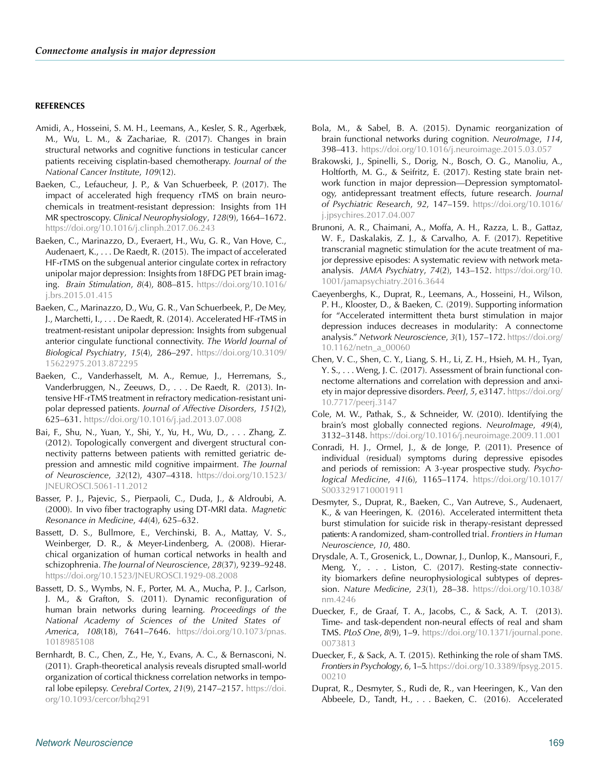#### **REFERENCES**

- <span id="page-12-16"></span>Amidi, A., Hosseini, S. M. H., Leemans, A., Kesler, S. R., Agerbæk, M., Wu, L. M., & Zachariae, R. (2017). Changes in brain structural networks and cognitive functions in testicular cancer patients receiving cisplatin-based chemotherapy. *Journal of the National Cancer Institute*, *109*(12).
- <span id="page-12-6"></span>Baeken, C., Lefaucheur, J. P., & Van Schuerbeek, P. (2017). The impact of accelerated high frequency rTMS on brain neurochemicals in treatment-resistant depression: Insights from 1H MR spectroscopy. *Clinical Neurophysiology*, *128*(9), 1664–1672. [https://doi.org/10.1016/j.clinph.2017.06.243](https://dx.doi.org/10.1016/j.clinph.2017.06.243)
- <span id="page-12-21"></span>Baeken, C., Marinazzo, D., Everaert, H., Wu, G. R., Van Hove, C., Audenaert, K., . . . De Raedt, R. (2015). The impact of accelerated HF-rTMS on the subgenual anterior cingulate cortex in refractory unipolar major depression: Insights from 18FDG PET brain imaging. *Brain Stimulation*, *8*(4), 808–815. [https://doi.org/10.1016/](https://dx.doi.org/10.1016/j.brs.2015.01.415) [j.brs.2015.01.415](https://dx.doi.org/10.1016/j.brs.2015.01.415)
- <span id="page-12-5"></span>Baeken, C., Marinazzo, D., Wu, G. R., Van Schuerbeek, P., De Mey, J., Marchetti, I., . . . De Raedt, R. (2014). Accelerated HF-rTMS in treatment-resistant unipolar depression: Insights from subgenual anterior cingulate functional connectivity. *The World Journal of Biological Psychiatry*, *15*(4), 286–297. [https://doi.org/10.3109/](https://dx.doi.org/10.3109/15622975.2013.872295) [15622975.2013.872295](https://dx.doi.org/10.3109/15622975.2013.872295)
- <span id="page-12-2"></span>Baeken, C., Vanderhasselt, M. A., Remue, J., Herremans, S., Vanderbruggen, N., Zeeuws, D., . . . De Raedt, R. (2013). Intensive HF-rTMS treatment in refractory medication-resistant unipolar depressed patients. *Journal of Affective Disorders*, *151*(2), 625–631. [https://doi.org/10.1016/j.jad.2013.07.008](https://dx.doi.org/10.1016/j.jad.2013.07.008)
- <span id="page-12-17"></span>Bai, F., Shu, N., Yuan, Y., Shi, Y., Yu, H., Wu, D., . . . Zhang, Z. (2012). Topologically convergent and divergent structural connectivity patterns between patients with remitted geriatric depression and amnestic mild cognitive impairment. *The Journal of Neuroscience*, *32*(12), 4307–4318. [https://doi.org/10.1523/](https://dx.doi.org/10.1523/JNEUROSCI.5061-11.2012) [JNEUROSCI.5061-11.2012](https://dx.doi.org/10.1523/JNEUROSCI.5061-11.2012)
- <span id="page-12-11"></span>Basser, P. J., Pajevic, S., Pierpaoli, C., Duda, J., & Aldroubi, A. (2000). In vivo fiber tractography using DT-MRI data. *Magnetic Resonance in Medicine*, *44*(4), 625–632.
- <span id="page-12-12"></span>Bassett, D. S., Bullmore, E., Verchinski, B. A., Mattay, V. S., Weinberger, D. R., & Meyer-Lindenberg, A. (2008). Hierarchical organization of human cortical networks in health and schizophrenia. *The Journal of Neuroscience*, *28*(37), 9239–9248. [https://doi.org/10.1523/JNEUROSCI.1929-08.2008](https://dx.doi.org/10.1523/JNEUROSCI.1929-08.2008)
- <span id="page-12-14"></span>Bassett, D. S., Wymbs, N. F., Porter, M. A., Mucha, P. J., Carlson, J. M., & Grafton, S. (2011). Dynamic reconfiguration of human brain networks during learning. *Proceedings of the National Academy of Sciences of the United States of America*, *108*(18), 7641–7646. [https://doi.org/10.1073/pnas.](https://dx.doi.org/10.1073/pnas.1018985108) [1018985108](https://dx.doi.org/10.1073/pnas.1018985108)
- <span id="page-12-13"></span>Bernhardt, B. C., Chen, Z., He, Y., Evans, A. C., & Bernasconi, N. (2011). Graph-theoretical analysis reveals disrupted small-world organization of cortical thickness correlation networks in temporal lobe epilepsy. *Cerebral Cortex*, *21*(9), 2147–2157. [https://doi.](https://dx.doi.org/10.1093/cercor/bhq291) [org/10.1093/cercor/bhq291](https://dx.doi.org/10.1093/cercor/bhq291)
- <span id="page-12-18"></span>Bola, M., & Sabel, B. A. (2015). Dynamic reorganization of brain functional networks during cognition. *NeuroImage*, *114*, 398–413. [https://doi.org/10.1016/j.neuroimage.2015.03.057](https://dx.doi.org/10.1016/j.neuroimage.2015.03.057)
- <span id="page-12-8"></span>Brakowski, J., Spinelli, S., Dorig, N., Bosch, O. G., Manoliu, A., Holtforth, M. G., & Seifritz, E. (2017). Resting state brain network function in major depression—Depression symptomatology, antidepressant treatment effects, future research. *Journal of Psychiatric Research*, *92*, 147–159. [https://doi.org/10.1016/](https://dx.doi.org/10.1016/j.jpsychires.2017.04.007) [j.jpsychires.2017.04.007](https://dx.doi.org/10.1016/j.jpsychires.2017.04.007)
- <span id="page-12-1"></span>Brunoni, A. R., Chaimani, A., Moffa, A. H., Razza, L. B., Gattaz, W. F., Daskalakis, Z. J., & Carvalho, A. F. (2017). Repetitive transcranial magnetic stimulation for the acute treatment of major depressive episodes: A systematic review with network metaanalysis. *JAMA Psychiatry*, *74*(2), 143–152. [https://doi.org/10.](https://dx.doi.org/ 10.1001/jamapsychiatry.2016.3644) [1001/jamapsychiatry.2016.3644](https://dx.doi.org/ 10.1001/jamapsychiatry.2016.3644)
- <span id="page-12-10"></span>Caeyenberghs, K., Duprat, R., Leemans, A., Hosseini, H., Wilson, P. H., Klooster, D., & Baeken, C. (2019). Supporting information for "Accelerated intermittent theta burst stimulation in major depression induces decreases in modularity: A connectome analysis." *Network Neuroscience*, *3*(1), 157–172. [https://doi.org/](https://dx.doi.org/10.1162/netn_a_00060) [10.1162/netn\\_a\\_00060](https://dx.doi.org/10.1162/netn_a_00060)
- <span id="page-12-9"></span>Chen, V. C., Shen, C. Y., Liang, S. H., Li, Z. H., Hsieh, M. H., Tyan, Y. S., . . . Weng, J. C. (2017). Assessment of brain functional connectome alternations and correlation with depression and anxiety in major depressive disorders. *PeerJ*, *5*, e3147. [https://doi.org/](https://dx.doi.org/10.7717/peerj.3147) [10.7717/peerj.3147](https://dx.doi.org/10.7717/peerj.3147)
- <span id="page-12-15"></span>Cole, M. W., Pathak, S., & Schneider, W. (2010). Identifying the brain's most globally connected regions. *NeuroImage*, *49*(4), 3132–3148. [https://doi.org/10.1016/j.neuroimage.2009.11.001](https://dx.doi.org/10.1016/j.neuroimage.2009.11.001)
- <span id="page-12-0"></span>Conradi, H. J., Ormel, J., & de Jonge, P. (2011). Presence of individual (residual) symptoms during depressive episodes and periods of remission: A 3-year prospective study. *Psychological Medicine*, *41*(6), 1165–1174. [https://doi.org/10.1017/](https://dx.doi.org/10.1017/S0033291710001911) [S0033291710001911](https://dx.doi.org/10.1017/S0033291710001911)
- <span id="page-12-3"></span>Desmyter, S., Duprat, R., Baeken, C., Van Autreve, S., Audenaert, K., & van Heeringen, K. (2016). Accelerated intermittent theta burst stimulation for suicide risk in therapy-resistant depressed patients: A randomized, sham-controlled trial. *Frontiers in Human Neuroscience*, *10*, 480.
- <span id="page-12-7"></span>Drysdale, A. T., Grosenick, L., Downar, J., Dunlop, K., Mansouri, F., Meng, Y., . . . Liston, C. (2017). Resting-state connectivity biomarkers define neurophysiological subtypes of depression. *Nature Medicine*, *23*(1), 28–38. [https://doi.org/10.1038/](https://dx.doi.org/10.1038/nm.4246) [nm.4246](https://dx.doi.org/10.1038/nm.4246)
- <span id="page-12-19"></span>Duecker, F., de Graaf, T. A., Jacobs, C., & Sack, A. T. (2013). Time- and task-dependent non-neural effects of real and sham TMS. *PLoS One*, *8*(9), 1–9. [https://doi.org/10.1371/journal.pone.](https://dx.doi.org/10.1371/journal.pone.0073813) [0073813](https://dx.doi.org/10.1371/journal.pone.0073813)
- <span id="page-12-20"></span>Duecker, F., & Sack, A. T. (2015). Rethinking the role of sham TMS. *Frontiers in Psychology*, *6*, 1–5. [https://doi.org/10.3389/fpsyg.2015.](https://dx.doi.org/10.3389/fpsyg.2015.00210) [00210](https://dx.doi.org/10.3389/fpsyg.2015.00210)
- <span id="page-12-4"></span>Duprat, R., Desmyter, S., Rudi de, R., van Heeringen, K., Van den Abbeele, D., Tandt, H., . . . Baeken, C. (2016). Accelerated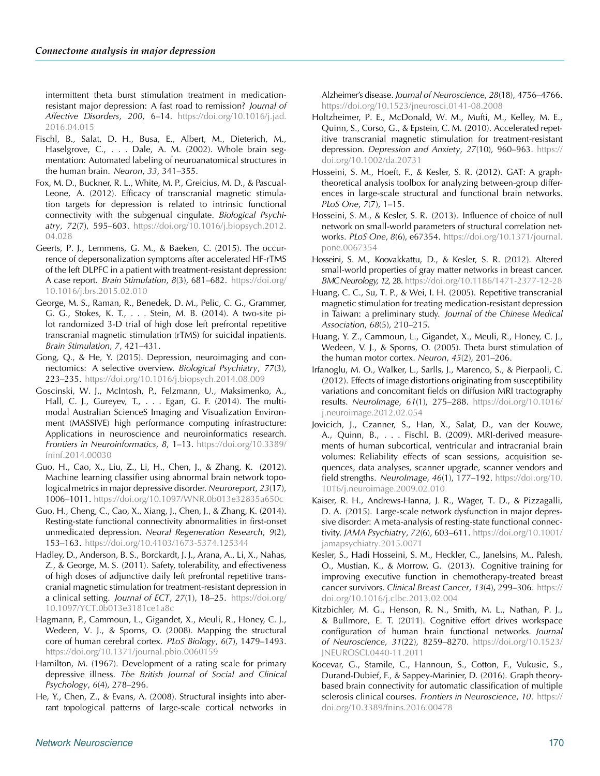intermittent theta burst stimulation treatment in medicationresistant major depression: A fast road to remission? *Journal of Affective Disorders*, *200*, 6–14. [https://doi.org/10.1016/j.jad.](https://dx.doi.org/10.1016/j.jad.2016.04.015) [2016.04.015](https://dx.doi.org/10.1016/j.jad.2016.04.015)

- <span id="page-13-6"></span>Fischl, B., Salat, D. H., Busa, E., Albert, M., Dieterich, M., Haselgrove, C., . . . Dale, A. M. (2002). Whole brain segmentation: Automated labeling of neuroanatomical structures in the human brain. *Neuron*, *33*, 341–355.
- <span id="page-13-2"></span>Fox, M. D., Buckner, R. L., White, M. P., Greicius, M. D., & Pascual-Leone, A. (2012). Efficacy of transcranial magnetic stimulation targets for depression is related to intrinsic functional connectivity with the subgenual cingulate. *Biological Psychiatry*, *72*(7), 595–603. [https://doi.org/10.1016/j.biopsych.2012.](https://dx.doi.org/10.1016/j.biopsych.2012.04.028) [04.028](https://dx.doi.org/10.1016/j.biopsych.2012.04.028)
- Geerts, P. J., Lemmens, G. M., & Baeken, C. (2015). The occurrence of depersonalization symptoms after accelerated HF-rTMS of the left DLPFC in a patient with treatment-resistant depression: A case report. *Brain Stimulation*, *8*(3), 681–682. [https://doi.org/](https://dx.doi.org/10.1016/j.brs.2015.02.010) [10.1016/j.brs.2015.02.010](https://dx.doi.org/10.1016/j.brs.2015.02.010)
- <span id="page-13-16"></span>George, M. S., Raman, R., Benedek, D. M., Pelic, C. G., Grammer, G. G., Stokes, K. T., . . . Stein, M. B. (2014). A two-site pilot randomized 3-D trial of high dose left prefrontal repetitive transcranial magnetic stimulation (rTMS) for suicidal inpatients. *Brain Stimulation*, *7*, 421–431.
- <span id="page-13-4"></span>Gong, Q., & He, Y. (2015). Depression, neuroimaging and connectomics: A selective overview. *Biological Psychiatry*, *77*(3), 223–235. [https://doi.org/10.1016/j.biopsych.2014.08.009](https://dx.doi.org/10.1016/j.biopsych.2014.08.009)
- <span id="page-13-8"></span>Goscinski, W. J., McIntosh, P., Felzmann, U., Maksimenko, A., Hall, C. J., Gureyev, T., . . . Egan, G. F. (2014). The multimodal Australian ScienceS Imaging and Visualization Environment (MASSIVE) high performance computing infrastructure: Applications in neuroscience and neuroinformatics research. *Frontiers in Neuroinformatics*, *8*, 1–13. [https://doi.org/10.3389/](https://dx.doi.org/10.3389/fninf.2014.00030) [fninf.2014.00030](https://dx.doi.org/10.3389/fninf.2014.00030)
- <span id="page-13-5"></span>Guo, H., Cao, X., Liu, Z., Li, H., Chen, J., & Zhang, K. (2012). Machine learning classifier using abnormal brain network topologicalmetrics in major depressive disorder. *Neuroreport*, *23*(17), 1006–1011. [https://doi.org/10.1097/WNR.0b013e32835a650c](https://dx.doi.org/10.1097/WNR.0b013e32835a650c)
- Guo, H., Cheng, C., Cao, X., Xiang, J., Chen, J., & Zhang, K. (2014). Resting-state functional connectivity abnormalities in first-onset unmedicated depression. *Neural Regeneration Research*, *9*(2), 153–163. [https://doi.org/10.4103/1673-5374.125344](https://dx.doi.org/10.4103/1673-5374.125344)
- <span id="page-13-15"></span>Hadley, D., Anderson, B. S., Borckardt, J. J., Arana, A., Li, X., Nahas, Z., & George, M. S. (2011). Safety, tolerability, and effectiveness of high doses of adjunctive daily left prefrontal repetitive transcranial magnetic stimulation for treatment-resistant depression in a clinical setting. *Journal of ECT*, *27*(1), 18–25. [https://doi.org/](https://dx.doi.org/10.1097/YCT.0b013e3181ce1a8c) [10.1097/YCT.0b013e3181ce1a8c](https://dx.doi.org/10.1097/YCT.0b013e3181ce1a8c)
- <span id="page-13-10"></span>Hagmann, P., Cammoun, L., Gigandet, X., Meuli, R., Honey, C. J., Wedeen, V. J., & Sporns, O. (2008). Mapping the structural core of human cerebral cortex. *PLoS Biology*, *6*(7), 1479–1493. [https://doi.org/10.1371/journal.pbio.0060159](https://dx.doi.org/10.1371/journal.pbio.0060159)
- Hamilton, M. (1967). Development of a rating scale for primary depressive illness. *The British Journal of Social and Clinical Psychology*, *6*(4), 278–296.
- <span id="page-13-12"></span>He, Y., Chen, Z., & Evans, A. (2008). Structural insights into aberrant topological patterns of large-scale cortical networks in

Alzheimer's disease. *Journal of Neuroscience*, *28*(18), 4756–4766. [https://doi.org/10.1523/jneurosci.0141-08.2008](https://dx.doi.org/10.1523/jneurosci.0141-08.2008)

- <span id="page-13-1"></span>Holtzheimer, P. E., McDonald, W. M., Mufti, M., Kelley, M. E., Quinn, S., Corso, G., & Epstein, C. M. (2010). Accelerated repetitive transcranial magnetic stimulation for treatment-resistant depression. *Depression and Anxiety*, *27*(10), 960–963. [https://](https://dx.doi.org/10.1002/da.20731) [doi.org/10.1002/da.20731](https://dx.doi.org/10.1002/da.20731)
- <span id="page-13-11"></span>Hosseini, S. M., Hoeft, F., & Kesler, S. R. (2012). GAT: A graphtheoretical analysis toolbox for analyzing between-group differences in large-scale structural and functional brain networks. *PLoS One*, *7*(7), 1–15.
- <span id="page-13-14"></span>Hosseini, S. M., & Kesler, S. R. (2013). Influence of choice of null network on small-world parameters of structural correlation networks. *PLoS One*, *8*(6), e67354. [https://doi.org/10.1371/journal.](https://dx.doi.org/10.1371/journal.pone.0067354) [pone.0067354](https://dx.doi.org/10.1371/journal.pone.0067354)
- <span id="page-13-13"></span>Hosseini, S. M., Koovakkattu, D., & Kesler, S. R. (2012). Altered small-world properties of gray matter networks in breast cancer. *BMCNeurology*, *12*, 28. [https://doi.org/10.1186/1471-2377-12-28](https://dx.doi.org/10.1186/1471-2377-12-28)
- <span id="page-13-0"></span>Huang, C. C., Su, T. P., & Wei, I. H. (2005). Repetitive transcranial magnetic stimulation for treating medication-resistant depression in Taiwan: a preliminary study. *Journal of the Chinese Medical Association*, *68*(5), 210–215.
- Huang, Y. Z., Cammoun, L., Gigandet, X., Meuli, R., Honey, C. J., Wedeen, V. J., & Sporns, O. (2005). Theta burst stimulation of the human motor cortex. *Neuron*, *45*(2), 201–206.
- <span id="page-13-9"></span>Irfanoglu, M. O., Walker, L., Sarlls, J., Marenco, S., & Pierpaoli, C. (2012). Effects of image distortions originating from susceptibility variations and concomitant fields on diffusion MRI tractography results. *NeuroImage*, *61*(1), 275–288. [https://doi.org/10.1016/](https://dx.doi.org/10.1016/j.neuroimage.2012.02.054) [j.neuroimage.2012.02.054](https://dx.doi.org/10.1016/j.neuroimage.2012.02.054)
- <span id="page-13-7"></span>Jovicich, J., Czanner, S., Han, X., Salat, D., van der Kouwe, A., Quinn, B., . . . Fischl, B. (2009). MRI-derived measurements of human subcortical, ventricular and intracranial brain volumes: Reliability effects of scan sessions, acquisition sequences, data analyses, scanner upgrade, scanner vendors and field strengths. *NeuroImage*, *46*(1), 177–192. [https://doi.org/10.](https://dx.doi.org/10.1016/j.neuroimage.2009.02.010) [1016/j.neuroimage.2009.02.010](https://dx.doi.org/10.1016/j.neuroimage.2009.02.010)
- <span id="page-13-3"></span>Kaiser, R. H., Andrews-Hanna, J. R., Wager, T. D., & Pizzagalli, D. A. (2015). Large-scale network dysfunction in major depressive disorder: A meta-analysis of resting-state functional connectivity. *JAMA Psychiatry*, *72*(6), 603–611. [https://doi.org/10.1001/](https://dx.doi.org/10.1001/jamapsychiatry.2015.0071) [jamapsychiatry.2015.0071](https://dx.doi.org/10.1001/jamapsychiatry.2015.0071)
- Kesler, S., Hadi Hosseini, S. M., Heckler, C., Janelsins, M., Palesh, O., Mustian, K., & Morrow, G. (2013). Cognitive training for improving executive function in chemotherapy-treated breast cancer survivors. *Clinical Breast Cancer*, *13*(4), 299–306. [https://](https://dx.doi.org/10.1016/j.clbc.2013.02.004) [doi.org/10.1016/j.clbc.2013.02.004](https://dx.doi.org/10.1016/j.clbc.2013.02.004)
- <span id="page-13-18"></span>Kitzbichler, M. G., Henson, R. N., Smith, M. L., Nathan, P. J., & Bullmore, E. T. (2011). Cognitive effort drives workspace configuration of human brain functional networks. *Journal of Neuroscience*, *31*(22), 8259–8270. [https://doi.org/10.1523/](https://dx.doi.org/10.1523/JNEUROSCI.0440-11.2011) [JNEUROSCI.0440-11.2011](https://dx.doi.org/10.1523/JNEUROSCI.0440-11.2011)
- <span id="page-13-17"></span>Kocevar, G., Stamile, C., Hannoun, S., Cotton, F., Vukusic, S., Durand-Dubief, F., & Sappey-Marinier, D. (2016). Graph theorybased brain connectivity for automatic classification of multiple sclerosis clinical courses. *Frontiers in Neuroscience*, *10*. [https://](https://dx.doi.org/10.3389/fnins.2016.00478) [doi.org/10.3389/fnins.2016.00478](https://dx.doi.org/10.3389/fnins.2016.00478)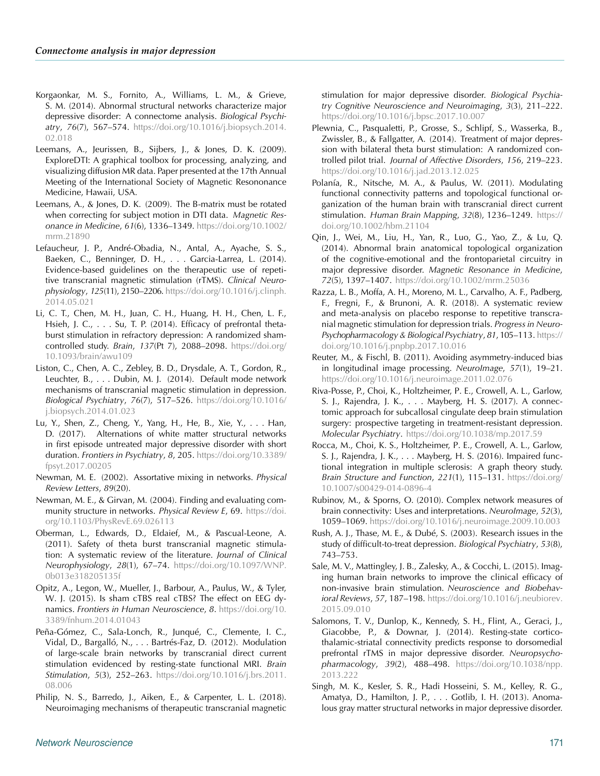- <span id="page-14-10"></span>Korgaonkar, M. S., Fornito, A., Williams, L. M., & Grieve, S. M. (2014). Abnormal structural networks characterize major depressive disorder: A connectome analysis. *Biological Psychiatry*, *76*(7), 567–574. [https://doi.org/10.1016/j.biopsych.2014.](https://dx.doi.org/10.1016/j.biopsych.2014.02.018) [02.018](https://dx.doi.org/10.1016/j.biopsych.2014.02.018)
- <span id="page-14-16"></span>Leemans, A., Jeurissen, B., Sijbers, J., & Jones, D. K. (2009). ExploreDTI: A graphical toolbox for processing, analyzing, and visualizing diffusion MR data. Paper presented at the 17th Annual Meeting of the International Society of Magnetic Resononance Medicine, Hawaii, USA.
- <span id="page-14-17"></span>Leemans, A., & Jones, D. K. (2009). The B-matrix must be rotated when correcting for subject motion in DTI data. *Magnetic Resonance in Medicine*, *61*(6), 1336–1349. [https://doi.org/10.1002/](https://dx.doi.org/10.1002/mrm.21890) [mrm.21890](https://dx.doi.org/10.1002/mrm.21890)
- <span id="page-14-0"></span>Lefaucheur, J. P., André-Obadia, N., Antal, A., Ayache, S. S., Baeken, C., Benninger, D. H., . . . Garcia-Larrea, L. (2014). Evidence-based guidelines on the therapeutic use of repetitive transcranial magnetic stimulation (rTMS). *Clinical Neurophysiology*, *125*(11), 2150–2206. [https://doi.org/10.1016/j.clinph.](https://dx.doi.org/10.1016/j.clinph.2014.05.021) [2014.05.021](https://dx.doi.org/10.1016/j.clinph.2014.05.021)
- <span id="page-14-2"></span>Li, C. T., Chen, M. H., Juan, C. H., Huang, H. H., Chen, L. F., Hsieh, J. C., . . . Su, T. P. (2014). Efficacy of prefrontal thetaburst stimulation in refractory depression: A randomized shamcontrolled study. *Brain*, *137*(Pt 7), 2088–2098. [https://doi.org/](https://dx.doi.org/10.1093/brain/awu109) [10.1093/brain/awu109](https://dx.doi.org/10.1093/brain/awu109)
- <span id="page-14-4"></span>Liston, C., Chen, A. C., Zebley, B. D., Drysdale, A. T., Gordon, R., Leuchter, B., . . . Dubin, M. J. (2014). Default mode network mechanisms of transcranial magnetic stimulation in depression. *Biological Psychiatry*, *76*(7), 517–526. [https://doi.org/10.1016/](https://dx.doi.org/10.1016/j.biopsych.2014.01.023) [j.biopsych.2014.01.023](https://dx.doi.org/10.1016/j.biopsych.2014.01.023)
- <span id="page-14-9"></span>Lu, Y., Shen, Z., Cheng, Y., Yang, H., He, B., Xie, Y., . . . Han, D. (2017). Alternations of white matter structural networks in first episode untreated major depressive disorder with short duration. *Frontiers in Psychiatry*, *8*, 205. [https://doi.org/10.3389/](https://dx.doi.org/10.3389/fpsyt.2017.00205) [fpsyt.2017.00205](https://dx.doi.org/10.3389/fpsyt.2017.00205)
- <span id="page-14-19"></span>Newman, M. E. (2002). Assortative mixing in networks. *Physical Review Letters*, *89*(20).
- <span id="page-14-21"></span>Newman, M. E., & Girvan, M. (2004). Finding and evaluating community structure in networks. *Physical Review E*, 69. [https://doi.](https://dx.doi.org/10.1103/PhysRevE.69.026113) [org/10.1103/PhysRevE.69.026113](https://dx.doi.org/10.1103/PhysRevE.69.026113)
- Oberman, L., Edwards, D., Eldaief, M., & Pascual-Leone, A. (2011). Safety of theta burst transcranial magnetic stimulation: A systematic review of the literature. *Journal of Clinical Neurophysiology*, *28*(1), 67–74. [https://doi.org/10.1097/WNP.](https://dx.doi.org/10.1097/WNP.0b013e318205135f) [0b013e318205135f](https://dx.doi.org/10.1097/WNP.0b013e318205135f)
- <span id="page-14-22"></span>Opitz, A., Legon, W., Mueller, J., Barbour, A., Paulus, W., & Tyler, W. J. (2015). Is sham cTBS real cTBS? The effect on EEG dynamics. *Frontiers in Human Neuroscience*, *8*. [https://doi.org/10.](https://dx.doi.org/10.3389/fnhum.2014.01043) [3389/fnhum.2014.01043](https://dx.doi.org/10.3389/fnhum.2014.01043)
- <span id="page-14-12"></span>Peña-Gómez, C., Sala-Lonch, R., Junqué, C., Clemente, I. C., Vidal, D., Bargalló, N., . . . Bartrés-Faz, D. (2012). Modulation of large-scale brain networks by transcranial direct current stimulation evidenced by resting-state functional MRI. *Brain Stimulation*, *5*(3), 252–263. [https://doi.org/10.1016/j.brs.2011.](https://dx.doi.org/10.1016/j.brs.2011.08.006) [08.006](https://dx.doi.org/10.1016/j.brs.2011.08.006)
- <span id="page-14-5"></span>Philip, N. S., Barredo, J., Aiken, E., & Carpenter, L. L. (2018). Neuroimaging mechanisms of therapeutic transcranial magnetic
- <span id="page-14-1"></span>Plewnia, C., Pasqualetti, P., Grosse, S., Schlipf, S., Wasserka, B., Zwissler, B., & Fallgatter, A. (2014). Treatment of major depression with bilateral theta burst stimulation: A randomized controlled pilot trial. *Journal of Affective Disorders*, *156*, 219–223. [https://doi.org/10.1016/j.jad.2013.12.025](https://dx.doi.org/10.1016/j.jad.2013.12.025)
- <span id="page-14-11"></span>Polanía, R., Nitsche, M. A., & Paulus, W. (2011). Modulating functional connectivity patterns and topological functional organization of the human brain with transcranial direct current stimulation. *Human Brain Mapping*, *32*(8), 1236–1249. [https://](https://dx.doi.org/10.1002/hbm.21104) [doi.org/10.1002/hbm.21104](https://dx.doi.org/10.1002/hbm.21104)
- <span id="page-14-8"></span>Qin, J., Wei, M., Liu, H., Yan, R., Luo, G., Yao, Z., & Lu, Q. (2014). Abnormal brain anatomical topological organization of the cognitive-emotional and the frontoparietal circuitry in major depressive disorder. *Magnetic Resonance in Medicine*, *72*(5), 1397–1407. [https://doi.org/10.1002/mrm.25036](https://dx.doi.org/10.1002/mrm.25036)
- <span id="page-14-23"></span>Razza, L. B., Moffa, A. H., Moreno, M. L., Carvalho, A. F., Padberg, F., Fregni, F., & Brunoni, A. R. (2018). A systematic review and meta-analysis on placebo response to repetitive transcranial magnetic stimulation for depression trials. *Progress in Neuro-Psychopharmacology & Biological Psychiatry*, *81*, 105–113. [https://](https://dx.doi.org/10.1016/j.pnpbp.2017.10.016) [doi.org/10.1016/j.pnpbp.2017.10.016](https://dx.doi.org/10.1016/j.pnpbp.2017.10.016)
- <span id="page-14-15"></span>Reuter, M., & Fischl, B. (2011). Avoiding asymmetry-induced bias in longitudinal image processing. *NeuroImage*, *57*(1), 19–21. [https://doi.org/10.1016/j.neuroimage.2011.02.076](https://dx.doi.org/10.1016/j.neuroimage.2011.02.076)
- <span id="page-14-13"></span>Riva-Posse, P., Choi, K., Holtzheimer, P. E., Crowell, A. L., Garlow, S. J., Rajendra, J. K., . . . Mayberg, H. S. (2017). A connectomic approach for subcallosal cingulate deep brain stimulation surgery: prospective targeting in treatment-resistant depression. *Molecular Psychiatry*. [https://doi.org/10.1038/mp.2017.59](https://dx.doi.org/10.1038/mp.2017.59)
- <span id="page-14-20"></span>Rocca, M., Choi, K. S., Holtzheimer, P. E., Crowell, A. L., Garlow, S. J., Rajendra, J. K., . . . Mayberg, H. S. (2016). Impaired functional integration in multiple sclerosis: A graph theory study. *Brain Structure and Function*, *221*(1), 115–131. [https://doi.org/](https://dx.doi.org/10.1007/s00429-014-0896-4) [10.1007/s00429-014-0896-4](https://dx.doi.org/10.1007/s00429-014-0896-4)
- <span id="page-14-18"></span>Rubinov, M., & Sporns, O. (2010). Complex network measures of brain connectivity: Uses and interpretations. *NeuroImage*, *52*(3), 1059–1069. [https://doi.org/10.1016/j.neuroimage.2009.10.003](https://dx.doi.org/10.1016/j.neuroimage.2009.10.003)
- <span id="page-14-14"></span>Rush, A. J., Thase, M. E., & Dubé, S. (2003). Research issues in the study of difficult-to-treat depression. *Biological Psychiatry*, *53*(8), 743–753.
- <span id="page-14-3"></span>Sale, M. V., Mattingley, J. B., Zalesky, A., & Cocchi, L. (2015). Imaging human brain networks to improve the clinical efficacy of non-invasive brain stimulation. *Neuroscience and Biobehavioral Reviews*, *57*, 187–198. [https://doi.org/10.1016/j.neubiorev.](https://dx.doi.org/10.1016/j.neubiorev.2015.09.010) [2015.09.010](https://dx.doi.org/10.1016/j.neubiorev.2015.09.010)
- <span id="page-14-6"></span>Salomons, T. V., Dunlop, K., Kennedy, S. H., Flint, A., Geraci, J., Giacobbe, P., & Downar, J. (2014). Resting-state corticothalamic-striatal connectivity predicts response to dorsomedial prefrontal rTMS in major depressive disorder. *Neuropsychopharmacology*, *39*(2), 488–498. [https://doi.org/10.1038/npp.](https://dx.doi.org/10.1038/npp.2013.222) [2013.222](https://dx.doi.org/10.1038/npp.2013.222)
- <span id="page-14-7"></span>Singh, M. K., Kesler, S. R., Hadi Hosseini, S. M., Kelley, R. G., Amatya, D., Hamilton, J. P., ...Gotlib, I. H. (2013). Anomalous gray matter structural networks in major depressive disorder.